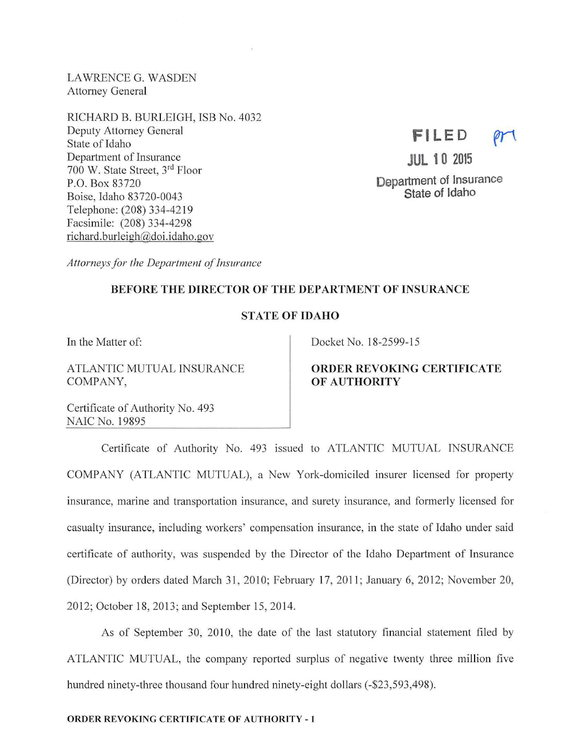LAWRENCE G. WASDEN Attorney General

RICHARD B. BURLEIGH, ISB No. 4032 Deputy Attorney General State of Idaho Department of Insurance 700 W. State Street, 3rd Floor P.O. Box 83720 Boise, Idaho 83720-0043 Telephone: (208) 334-4219 Facsimile: (208) 334-4298 richard.burleigh@doi.idaho.gov

# **FILED**

**JUL 10 2015**  Department of Insurance State of Idaho

*Attorneys for the Department of Insurance* 

# BEFORE THE DIRECTOR OF THE DEPARTMENT OF INSURANCE

# ST ATE OF IDAHO

In the Matter of:

ATLANTIC MUTUAL INSURANCE COMPANY,

Docket No. 18-2599-15

# ORDER REVOKING CERTIFICATE OF AUTHORITY

Certificate of Authority No. 493 NAIC No. 19895

Certificate of Authority No. 493 issued to ATLANTIC MUTUAL INSURANCE COMPANY (ATLANTIC MUTUAL), a New York-domiciled insurer licensed for property insurance, marine and transportation insurance, and surety insurance, and formerly licensed for casualty insurance, including workers' compensation insurance, in the state of Idaho under said certificate of authority, was suspended by the Director of the Idaho Department of Insurance (Director) by orders dated March 31, 2010; February 17, 2011; January 6, 2012; November 20, 2012; October 18, 2013; and September 15, 2014.

As of September 30, 2010, the date of the last statutory financial statement filed by ATLANTIC MUTUAL, the company reported surplus of negative twenty three million five hundred ninety-three thousand four hundred ninety-eight dollars (-\$23,593,498).

# ORDER REVOKING CERTIFICATE OF AUTHORITY - 1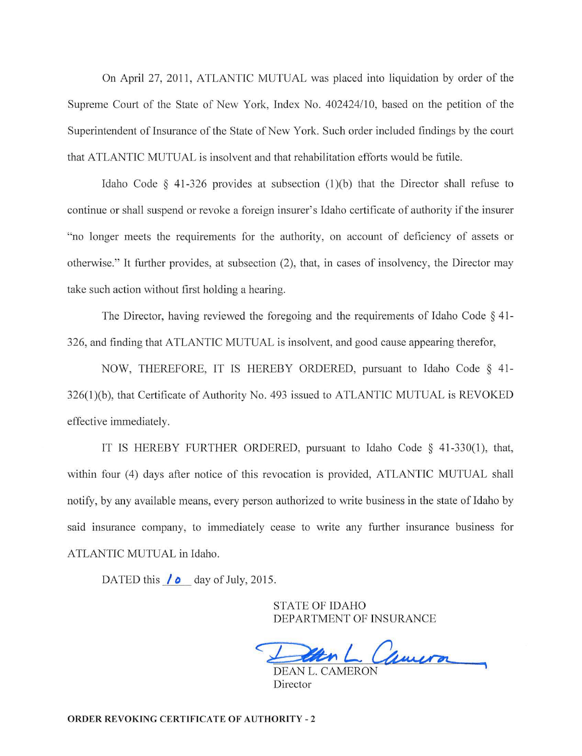On April 27, 2011, ATLANTIC MUTUAL was placed into liquidation by order of the Supreme Cowt of the State of New York, Index No. 402424/10, based on the petition of the Superintendent of Insurance of the State of New York. Such order included findings by the court that ATLANTIC MUTUAL is insolvent and that rehabilitation efforts would be futile.

Idaho Code  $\S$  41-326 provides at subsection (1)(b) that the Director shall refuse to continue or shall suspend or revoke a foreign insurer's Idaho certificate of authority if the insurer "no longer meets the requirements for the authority, on account of deficiency of assets or otherwise." It further provides, at subsection (2), that, in cases of insolvency, the Director may take such action without first holding a hearing.

The Director, having reviewed the foregoing and the requirements of Idaho Code § 41-326, and finding that ATLANTIC MUTUAL is insolvent, and good cause appearing therefor,

NOW, THEREFORE, IT IS HEREBY ORDERED, pursuant to Idaho Code § 41-  $326(1)(b)$ , that Certificate of Authority No. 493 issued to ATLANTIC MUTUAL is REVOKED effective immediately.

IT IS HEREBY FURTHER ORDERED, pursuant to Idaho Code  $\S$  41-330(1), that, within four (4) days after notice of this revocation is provided, ATLANTIC MUTUAL shall notify, by any available means, every person authorized to write business in the state of Idaho by said insurance company, to immediately cease to write any further insurance business for ATLANTIC MUTUAL in Idaho.

DATED this  $\ell$  **d**ay of July, 2015.

STATE OF IDAHO DEPARTMENT OF INSURANCE

 $\rightarrow$ Han L Cameron

DEAN L. CAMERON Director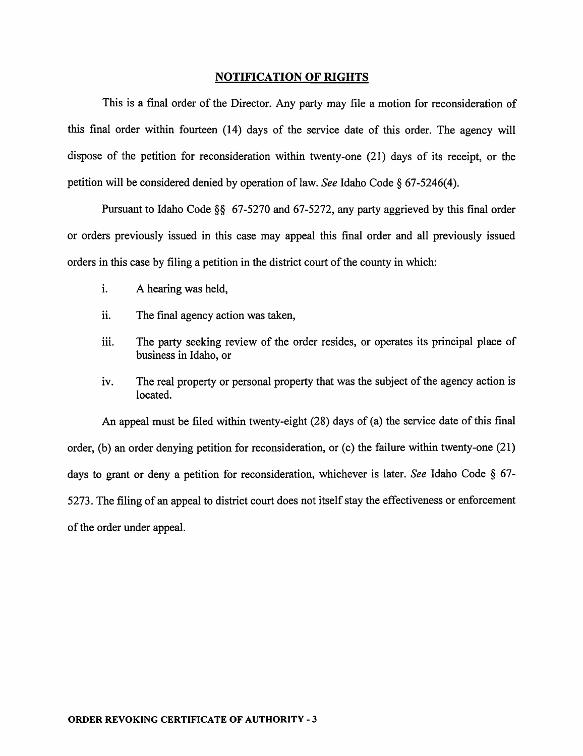#### NOTIFICATION OF RIGHTS

This is a final order of the Director. Any party may file a motion for reconsideration of this final order within fourteen (14) days of the service date of this order. The agency will dispose of the petition for reconsideration within twenty-one (21) days of its receipt, or the petition will be considered denied by operation of law. *See* Idaho Code§ 67-5246(4).

Pursuant to Idaho Code§§ 67-5270 and 67-5272, any party aggrieved by this final order or orders previously issued in this case may appeal this final order and all previously issued orders in this case by filing a petition in the district court of the county in which:

- i. A hearing was held,
- ii. The final agency action was taken,
- iii. The party seeking review of the order resides, or operates its principal place of business in Idaho, or
- iv. The real property or personal property that was the subject of the agency action is located.

An appeal must be filed within twenty-eight (28) days of (a) the service date of this final order, (b) an order denying petition for reconsideration, or (c) the failure within twenty-one  $(21)$ days to grant or deny a petition for reconsideration, whichever is later. *See* Idaho Code § 67- 5273. The filing of an appeal to district court does not itself stay the effectiveness or enforcement of the order under appeal.